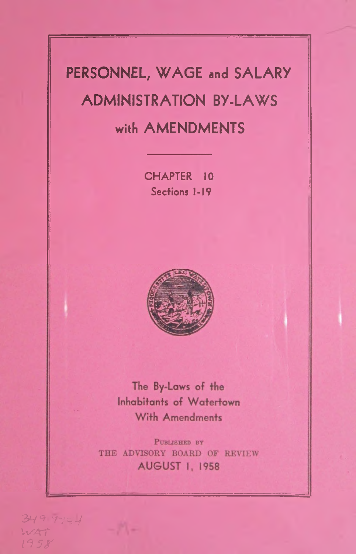# **PERSONNEL, W AGE and SALARY ADMINISTRATION BY-LAWS with AMENDMENTS**

CHAPTER 10 **Sections 1-19**



The By-Laws of the **Inhabitants of Watertown** With Amendments

PUBLISHED BY THE ADVISORY BOARD OF REVIEW **AUGUST 1, 1958** 

 $349$   $7744$ *W A T i \$ \$ r*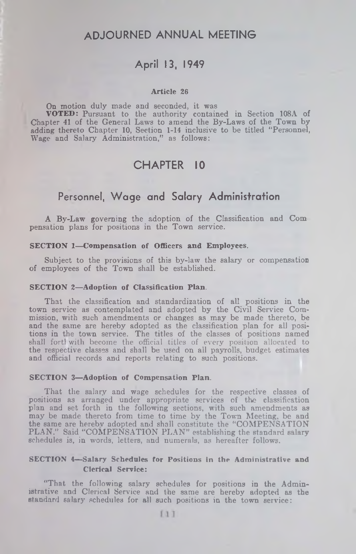# A D JOURNED ANNUAL MEETING

# April 13, 1949

#### Article 26

On motion duly made and seconded, it was VOTED: Pursuant to the authority contained in Section 108A of Chapter 41 of the General Laws to amend the By-Laws of the Town by adding thereto Chapter 10, Section 1-14 inclusive to be titled "Personnel, Wage and Salary Administration," as follows:

# CHAPTER 10

# Personnel, W age and Salary Administration

A By-Law governing the adoption of the Classification and Com pensation plans for positions in the Town service.

#### SECTION 1—Compensation of Officers and Employees.

Subject to the provisions of this by-law the salary or compensation of employees of the Town shall be established.

#### SECTION 2—Adoption of Classification Plan.

That the classification and standardization of all positions in the town service as contemplated and adopted by the Civil Service Commission, with such amendments or changes as may be made thereto, be and the same are hereby adopted as the classification plan for all positions in the town service. The titles of the classes of positions named shall fortlwith become the official titles of every position allocated to the respective classes and shall be used on all payrolls, budget estimates and official records and reports relating to such positions.

#### SECTION 3—Adoption of Compensation Plan.

That the salary and wage schedules for the respective classes of positions as arranged under appropriate services of the classification plan and set forth in the following sections, with such amendments as may be made thereto from time to time by the Town Meeting, be and the same are hereby adopted and shall constitute the "COMPENSATION PLAN." Said "COMPENSATION PLAN" establishing the standard salary schedules is, in words, letters, and numerals, as hereafter follows.

#### SECTION 4—Salary Schedules for Positions in the Administrative and Clerical Service:

"That the following salary schedules for positions in the Administrative and Clerical Service and the same are hereby adopted as the standard salary schedules for all such positions in the town service: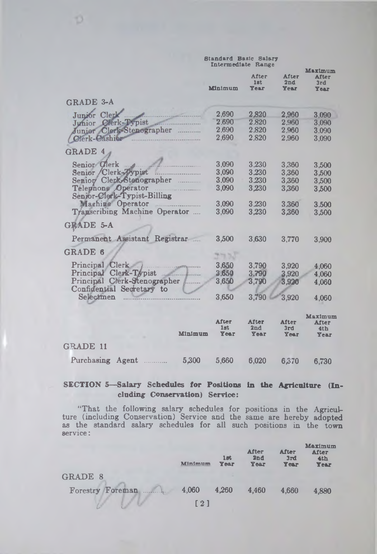|                               |         | <b>Standard Basic Salary</b><br>Intermediate Range |                      |                                        |  |
|-------------------------------|---------|----------------------------------------------------|----------------------|----------------------------------------|--|
|                               | Minimum | <b>After</b><br>lst<br>Year                        | After<br>2nd<br>Year | Maximum<br><b>After</b><br>3rd<br>Year |  |
| GRADE 3-A                     |         |                                                    |                      |                                        |  |
| Junior Clerk                  | 2,690   | 2,820                                              | 2,960                | 3,090                                  |  |
| Clerk-Typist<br>Junior        | 2.690   | 2.820                                              | 2,960                | 3,090                                  |  |
| Junior Clerk-Stenographer<br> | 2,690   | 2.820                                              | 2,960                | 3.090                                  |  |
| Clerk-Cashier                 | 2,690   | 2,820                                              | 2,960                | 3,090                                  |  |
| <b>GRADE 4</b>                |         |                                                    |                      |                                        |  |
| Senior Clerk                  | 3,090   | 3,230                                              | 3.360                | 3.500                                  |  |
| Senior Clerk-Typist           | 3,090   | 3.230                                              | 3,360                | 3.500                                  |  |
| Senior Clerk-Stenographer     | 3.090   | 3.230                                              | 3,360                | 3,500                                  |  |
| Telephone Operator            | 3,090   | 3,230                                              | 3,360                | 3.500                                  |  |
| Senior-Clerk-Typist-Billing   |         |                                                    |                      |                                        |  |
| Machine Operator              | 3.090   | 3.230                                              | 3.360                | 3.500                                  |  |
| Transcribing Machine Operator | 3,090   | 3.230                                              | 3.360                | 3,500                                  |  |
|                               |         |                                                    |                      |                                        |  |
| GRADE 5-A                     |         |                                                    |                      |                                        |  |
| Permanent Assistant Registrar | 3,500   | 3,630                                              | 3.770                | 3.900                                  |  |
|                               |         |                                                    |                      |                                        |  |
| GRADE 6                       |         |                                                    |                      |                                        |  |
| Principal Clerk               | 3,650   | 3,790                                              | 3.920                | 4,060                                  |  |
| Principal Clerk-Typist        | 3,650   | 3,790                                              | 3.920                | 4.060                                  |  |
| Principal Clerk-Stenographer  | 3,650   | 3,790                                              | 3,920                | 4,060                                  |  |
| Confidential Secretary to     |         |                                                    |                      |                                        |  |
| Selectmen                     | 3.650   | 3,790                                              | 3,920                | 4,060                                  |  |
|                               |         |                                                    |                      |                                        |  |
|                               | After   | <b>After</b>                                       | After                | Maximum<br>After                       |  |
|                               | 1st     | 2nd                                                | 3rd                  | 4 <sub>th</sub>                        |  |
| Minimum                       | Year    | Year                                               | Year                 | Year                                   |  |
| GRADE 11                      |         |                                                    |                      |                                        |  |
| Purchasing<br>5,300<br>Agent  | 5.660   | 6,020                                              | 6,370                | 6,730                                  |  |
|                               |         |                                                    |                      |                                        |  |

O

# **SECTION 5— Salary Schedules for Positions in the Agriculture (Including Conservation) Service:**

**"That the following salary schedules for positions in the Agriculture (including Conservation) Service and the same are hereby adopted as the standard salary schedules for all such positions in the town service:**

|                     | Minimum           | 1st<br>Year | <b>After</b><br>2nd<br>Year | <b>After</b><br>3rd<br>Year | <b>Maximum</b><br>After<br>4th<br>Year |
|---------------------|-------------------|-------------|-----------------------------|-----------------------------|----------------------------------------|
| <b>GRADE 8</b>      |                   |             |                             |                             |                                        |
| Forestry<br>Foreman | 4,060             | 4,260       | 4,460                       | 4.660                       | 4.880                                  |
|                     | $\lceil 2 \rceil$ |             |                             |                             |                                        |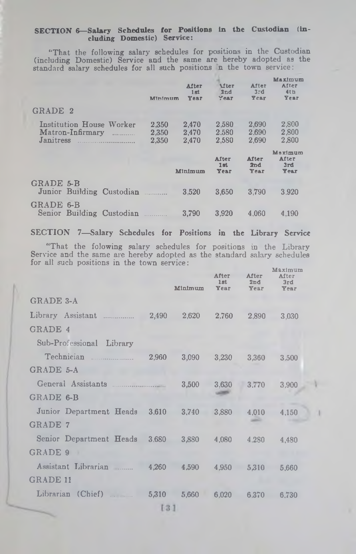#### SECTION 6—Salary Schedules for Positions in the Custodian (including Domestic) Service:

"That the following salary schedules for positions in the Custodian (including Domestic) Service and the same are hereby adopted as the standard salary schedules for all such positions n the town service:

|                                                                                                               | Minimum                 | After<br>1st<br>Year    | <b>Mter</b><br>2nd<br>Year | After<br>3rd<br>Year    | Maximum<br>After<br>4th<br>Year |
|---------------------------------------------------------------------------------------------------------------|-------------------------|-------------------------|----------------------------|-------------------------|---------------------------------|
| GRADE 2                                                                                                       |                         |                         |                            |                         |                                 |
| Institution House Worker<br>Matron-Infirmary<br>1.1.1.1.1.1.1.1.1.1<br>Janitress<br>and the commission of the | 2.350<br>2.350<br>2.350 | 2.470<br>2,470<br>2.470 | 2.580<br>2.580<br>2,580    | 2,690<br>2.690<br>2.690 | 2,800<br>2.800<br>2.800         |
|                                                                                                               |                         |                         | After                      | <b>After</b>            | Maximum<br><b>After</b>         |
|                                                                                                               |                         | Minimum                 | 1 <sub>at</sub><br>Year    | 2 <sub>nd</sub><br>Year | 3rd<br>Year                     |
| GRADE 5-B<br>Junior Building Custodian                                                                        |                         | 3.520                   | 3.650                      | 3.790                   | 3.920                           |

SECTION 7—Salary Schedules for Positions in the Library Service

"That the folowing salary schedules for positions in the Library Service and the same are hereby adopted as the standard salary schedules for all such positions in the town service:

|                               |                                                            | Minimum | After<br>1st<br>Year | After<br>2nd<br>Year | Maximum<br>After<br>3rd<br>Year |  |
|-------------------------------|------------------------------------------------------------|---------|----------------------|----------------------|---------------------------------|--|
| <b>GRADE 3-A</b>              |                                                            |         |                      |                      |                                 |  |
| Library Assistant             | 2,490                                                      | 2,620   | 2,760                | 2,890                | 3,030                           |  |
| GRADE 4                       |                                                            |         |                      |                      |                                 |  |
| Sub-Professional Library      |                                                            |         |                      |                      |                                 |  |
| Technician                    | 2,960                                                      | 3,090   | 3,230                | 3,360                | 3.500                           |  |
| GRADE 5-A                     |                                                            |         |                      |                      |                                 |  |
| General Assistants            |                                                            | 3,500   | 3,630                | 3.770                | 3,900                           |  |
| GRADE 6-B                     |                                                            |         |                      |                      |                                 |  |
| Junior Department Heads 3,610 |                                                            | 3.740   | 3,880                | 4,010                | 4.150                           |  |
| <b>GRADE 7</b>                |                                                            |         |                      |                      |                                 |  |
| Senior Department Heads       | 3.680                                                      | 3,880   | 4,080                | 4.280                | 4.480                           |  |
| GRADE 9                       |                                                            |         |                      |                      |                                 |  |
| Assistant Librarian           | 4.260                                                      | 4.590   | 4.950                | 5,310                | 5.660                           |  |
| <b>GRADE 11</b>               |                                                            |         |                      |                      |                                 |  |
| Librarian (Chief)             | 5,310                                                      | 5.660   | 6.020                | 6.370                | 6.730                           |  |
|                               | $\left[\begin{smallmatrix} 3 & 1 \end{smallmatrix}\right]$ |         |                      |                      |                                 |  |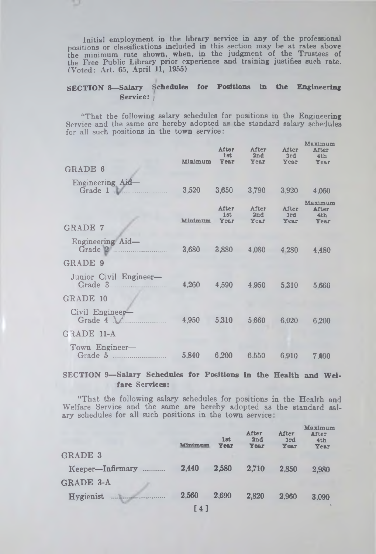**Initial employment in the library service in any of the professional positions or classifications included in this section may be at rates above the minimum rate shown, when, in the judgment of the Trustees of the Free Public Library prior experience and training justifies such rate. (Voted: Art. 65, April 11, 1955)**

# **SECTION 8— Salary Schedules for Positions in the Engineering Service:** *j*

" That **the following salary schedules for positions in the Engineering** Service and the **same are hereby adopted as the standard salary schedules** for all such **positions in the town service:**

| Minimum | After<br>$1$ st.<br>Year | After<br>2nd<br><b>Year</b> | After<br>3rd<br>Year | Maximum<br>After<br>4th<br>Year |
|---------|--------------------------|-----------------------------|----------------------|---------------------------------|
| 3,520   | 3,650                    | 3,790                       | 3,920                | 4,060                           |
| Minimum | After<br>1st<br>Year     | After<br>2nd<br>Year        | After<br>3rd<br>Year | Maximum<br>After<br>4th<br>Year |
| 3,680   | 3.880                    | 4,080                       | 4.280                | 4,480                           |
|         |                          |                             |                      |                                 |
| 4,260   | 4,590                    | 4,950                       | 5.310                | 5,660                           |
|         |                          |                             |                      |                                 |
| 4,950   | 5,310                    | 5.660                       | 6,020                | 6,200                           |
|         |                          |                             |                      |                                 |
| 5,840   | 6,200                    | 6.550                       | 6.910                | 7.090                           |
|         |                          |                             |                      |                                 |

**SECTION 9-Salary Schedules for Positions in the Health and Welfare Services:**

**"That the following salary schedules for positions in the Health and Welfare Service and the same are hereby adopted as the standard salary schedules for all such positions in the town service**

|                                         | Minimum | 1st<br><b>Year</b> | <b>After</b><br>2nd<br><b>Year</b> | After<br>3rd<br>Year | Maximum<br><b>After</b><br>4th<br>Year |
|-----------------------------------------|---------|--------------------|------------------------------------|----------------------|----------------------------------------|
| <b>GRADE 3</b>                          |         |                    |                                    |                      |                                        |
| Keeper-Infirmary<br>.                   | 2,440   | 2.580              | 2.710                              | 2.850                | 2,980                                  |
| <b>GRADE 3-A</b>                        |         |                    |                                    |                      |                                        |
| <b>Hygienist</b><br><b>THE RECEIVED</b> | 2.560   | 2.690              | 2,820                              | 2.960                | 3.090                                  |
|                                         | [4]     |                    |                                    |                      |                                        |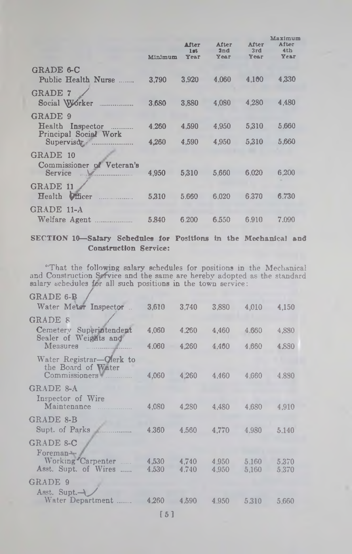| Minimum | <b>After</b><br>$1$ m <sup>t</sup><br>Year | After<br>2nd<br>Year | After<br>3rd<br>Year | Maximum<br>After<br>4th<br>Year |
|---------|--------------------------------------------|----------------------|----------------------|---------------------------------|
|         |                                            |                      |                      |                                 |
|         |                                            |                      |                      | 4,330                           |
| 3.680   | 3,880                                      | 4,080                | 4,280                | 4.480                           |
|         |                                            |                      |                      |                                 |
| 4.260   | 4.590                                      | 4,950                | 5,310                | 5,660                           |
| 4.260   | 4,590                                      | 4,950                | 5,310                | 5,660                           |
|         |                                            |                      |                      |                                 |
| 4.950   | 5.310                                      | 5.660                | 6,020                | 6.200                           |
| 5.310   | 5.660                                      | 6.020                | 6.370                | 6.730                           |
|         |                                            |                      |                      |                                 |
| 5.840   | 6.200                                      | 6.550                | 6.910                | 7.090                           |
|         | 3.790                                      | 3.920                | 4.060                | 4.160                           |

### SECTION 10—Salary Schedules lor Positions in the Mechanical and Construction Service:

"That the following salary schedules for positions in the Mechanical and Construction Service and the same are hereby adopted as the standard salary schedules *ior* all such positions in the town service:

| $\rm{GRADE}$ 6-B |  |  |
|------------------|--|--|
|------------------|--|--|

| 3,610          | 3,740          | 3,880          | 4.010          | 4,150          |
|----------------|----------------|----------------|----------------|----------------|
|                |                |                |                |                |
| 4.060          | 4.260          | 4.460          | 4.660          | 4,880          |
| 4.060          | 4,260          | 4,460          | 4,660          | 4,880          |
| 4,060          | 4,260          | 4,460          | 4,660          | 4,880          |
|                |                |                |                |                |
| 4.080          | 4.280          | 4.480          | 4,680          | 4.910          |
|                |                |                |                |                |
| 4.360          | 4,560          | 4,770          | 4,980          | 5.140          |
|                |                |                |                |                |
| 4,530<br>4.530 | 4,740<br>4.740 | 4.950<br>4,950 | 5,160<br>5,160 | 5.370<br>5,370 |
|                |                |                |                |                |
|                | 4.590          | 4,950          | 5,310          | 5.660          |
|                |                | 4.260          |                |                |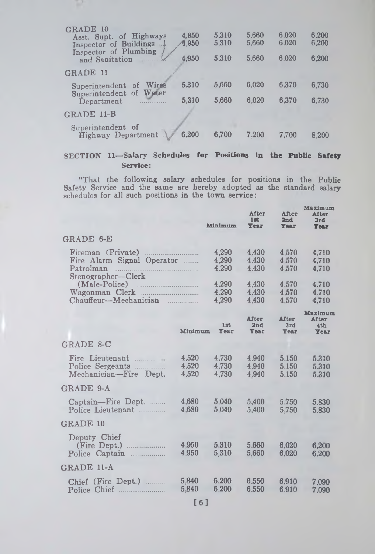| GRADE 10<br>Asst. Supt. of Highways<br>Inspector of Buildings<br>Inspector of Plumbing<br>and Sanitation | 4.950<br><b>A.950</b><br>4.950 | 5.310<br>5.310<br>5.310 | 5.660<br>5.660<br>5.660 | 6.020<br>6.020<br>6.020 | 6.200<br>6.200<br>6.200 |
|----------------------------------------------------------------------------------------------------------|--------------------------------|-------------------------|-------------------------|-------------------------|-------------------------|
| GRADE 11                                                                                                 |                                |                         |                         |                         |                         |
| Wires<br>Superintendent<br>οf                                                                            | 5,310                          | 5,660                   | 6.020                   | 6.370                   | 6.730                   |
| Water<br>Superintendent of<br>Department                                                                 | 5,310                          | 5,660                   | 6.020                   | 6,370                   | 6,730                   |
| GRADE 11-B                                                                                               |                                |                         |                         |                         |                         |
| Superintendent of<br>Highway Department                                                                  | 6.200                          | 6.700                   | 7.200                   | 7.700                   | 8,200                   |

# **SECTION 11— Salary Schedules for Positions in the Public Safety Service:**

**"That the following salary schedules for positions in the Public Safety Service and the same are hereby adopted as the standard salary schedules for all such positions in the town service:**

|                            |                         | <b>After</b><br>$1$ at<br><b>Year</b> | After<br>2nd<br><b>Year</b>        | Maximum<br><b>After</b><br>3rd<br><b>Year</b> |
|----------------------------|-------------------------|---------------------------------------|------------------------------------|-----------------------------------------------|
|                            |                         |                                       |                                    |                                               |
| Fire Alarm Signal Operator | 4,290<br>4,290<br>4.290 | 4.430<br>4,430<br>4.430               | 4,570<br>4,570<br>4.570            | 4.710<br>4.710<br>4.710                       |
| Chauffeur-Mechanician      | 4,290<br>4.290<br>4.290 | 4,430<br>4.430<br>4.430               | 4,570<br>4.570<br>4,570            | 4.710<br>4.710<br>4.710                       |
|                            | 1st<br>Year             | <b>After</b><br>2nd<br><b>Year</b>    | <b>After</b><br>3rd<br><b>Year</b> | Maximum<br>After<br>4th<br><b>Year</b>        |
|                            |                         |                                       |                                    |                                               |
| 4,520<br>4.520<br>4.520    | 4,730<br>4.730<br>4.730 | 4.940<br>4.940<br>4.940               | 5.150<br>5.150<br>5.150            | 5,310<br>5.310<br>5.310                       |
|                            |                         |                                       |                                    |                                               |
| 4.680<br>4.680             | 5.040<br>5.040          | 5.400<br>5.400                        | 5.750<br>5.750                     | 5.830<br>5.830                                |
|                            |                         |                                       |                                    |                                               |
| 4.950<br>4.950             | 5.310<br>5,310          | 5.660<br>5,660                        | 6.020<br>6.020                     | 6.200<br>6.200                                |
|                            |                         |                                       |                                    |                                               |
| 5,840<br>5,840             | 6,200<br>6.200          | 6.550<br>6.550                        | 6.910<br>6.910                     | 7,090<br>7,090                                |
|                            |                         | Minimum<br>Minimum                    |                                    |                                               |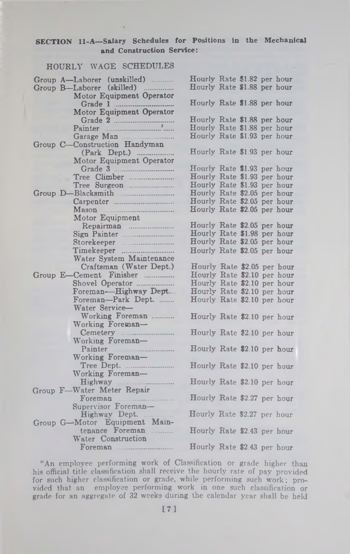# SECTION 1I-A—Salary Schedules for Positions in the Mechanical and Construction Service:

hour hour hour hour hour hour hour hour hour hour hour hour hour hour hour hour hour hour hour hour hour hour hour hour hour hour hour hour hour hour hour

# HOURLY WAGE SCHEDULES

|  | Group A-Laborer (unskilled)   | Hourly Rate \$1.82 per |  |  |
|--|-------------------------------|------------------------|--|--|
|  | Group B-Laborer (skilled)     | Hourly Rate \$1.88 per |  |  |
|  | Motor Equipment Operator      |                        |  |  |
|  |                               | Hourly Rate \$1.88 per |  |  |
|  | Motor Equipment Operator      |                        |  |  |
|  | Grade 2 Painter               | Hourly Rate \$1.88 per |  |  |
|  |                               | Hourly Rate \$1.88 per |  |  |
|  | Garage Man                    | Hourly Rate \$1.93 per |  |  |
|  | Group C-Construction Handyman |                        |  |  |
|  | (Park Dept.)                  | Hourly Rate \$1.93 per |  |  |
|  | Motor Equipment Operator      |                        |  |  |
|  |                               | Hourly Rate \$1.93 per |  |  |
|  | Tree Climber                  | Hourly Rate \$1.93 per |  |  |
|  |                               | Hourly Rate \$1.93 per |  |  |
|  |                               | Hourly Rate \$2.05 per |  |  |
|  |                               | Hourly Rate \$2.05 per |  |  |
|  |                               | Hourly Rate \$2.05 per |  |  |
|  | Motor Equipment               |                        |  |  |
|  |                               | Hourly Rate \$2.05 per |  |  |
|  |                               | Hourly Rate \$1.98 per |  |  |
|  | Storekeeper                   | Hourly Rate \$2.05 per |  |  |
|  |                               | Hourly Rate \$2.05 per |  |  |
|  | Water System Maintenance      |                        |  |  |
|  | Craftsman (Water Dept.)       | Hourly Rate \$2.05 pe  |  |  |
|  | Group E-Cement Finisher       | Hourly Rate \$2.10 per |  |  |
|  | Shovel Operator               | Hourly Rate \$2.10 per |  |  |
|  | Foreman-Highway Dept.         | Hourly Rate \$2.10 per |  |  |
|  | Foreman-Park Dept.            | Hourly Rate \$2.10 per |  |  |
|  | Water Service-                |                        |  |  |
|  | Working Foreman               | Hourly Rate \$2.10 per |  |  |
|  | Working Foreman-              |                        |  |  |
|  |                               | Hourly Rate \$2.10 per |  |  |
|  | Working Foreman-              |                        |  |  |
|  | Painter Manual Communication  | Hourly Rate \$2.10 per |  |  |
|  | Working Foreman-              |                        |  |  |
|  |                               | Hourly Rate \$2.10 per |  |  |
|  | Working Foreman-              |                        |  |  |
|  |                               | Hourly Rate \$2.10 per |  |  |
|  | Group F-Water Meter Repair    |                        |  |  |
|  | Foreman Manuel Barbara        | Hourly Rate \$2.27 per |  |  |
|  | Supervisor Foreman-           |                        |  |  |
|  | Highway Dept.                 | Hourly Rate \$2.27 per |  |  |
|  | Group G-Motor Equipment Main- |                        |  |  |
|  | tenance Foreman               | Hourly Rate \$2.43 per |  |  |
|  | Water Construction            |                        |  |  |
|  |                               | Hourly Rate \$2.43 per |  |  |
|  |                               |                        |  |  |

"An employee performing work of Classification or grade higher than his official title classification shall receive the hourly rate of pay provided for such higher classification or grade, while performing such work; provided that an employee performing work in one such classification or grade for an aggregate of 32 weeks during the calendar year shall be held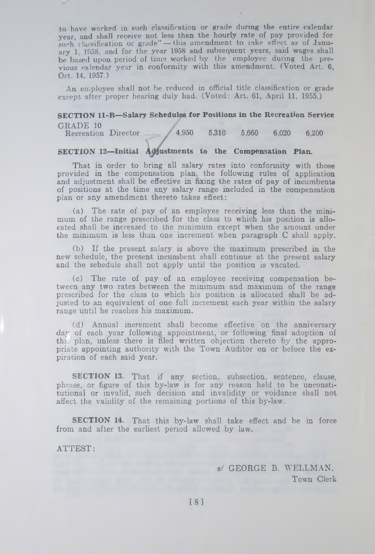**to have worked in such classification or grade during the entire calendar year, and shall receive not less than the hourly rate of pay provided for** such classification or grade" - this amendment to take effect as of Janu**ary 1, 1058, and for the year 1958 and subsequent years, said wages shall be based upon period of time worked by the employee during the previous calendar year in conformity with this amendment. (Voted Art. 6, Oct. 14, 1957.)**

**An employee shall not be reduced in official title classification or grade except after proper hearing duly had. (Voted: Art. 61, April 11, 1955.)**

# **SECTION 11-B— Salary Schedules for Positions in the Recreation Service**

GRADE 10<br>Recreation Director ........ **5,310 5,660 6,020 6,200**

### **SECTION 12-Initial Adjustments to the Compensation Plan.**

**That in order to bring all salary rates into conformity with those provided in the compensation plan, the following rules of application and adjustment shall be effective in fixing the rates of pay of incumbents of positions at the time any salary range included in the compensation plan or any amendment thereto takes effect:**

**(a) The rate of pay of an employee receiving less than the minimum of the range prescribed for the class to which his position is allocated shall be increased to the minimum except when the amount under the minimum is less than one increment when paragraph C shall apply.**

**(b) If the present salary is above the maximum prescribed in the new schedule, the present incumbent shall continue at the present salary and the schedule shall not apply until the position is vacated.**

**(c) The rate of pay of an employee receiving compensation between any two rates between the minimum and maximum of the range prescribed for the class to which his position is allocated shall be adjusted to an equivalent of one full increment each year within the salary range until he reaches his maximum.**

**(d) Annual increment shali become effective on the anniversary day of each year following appointment, or following final adoption of thi.. plan, unless there is filed written objection thereto by the appropriate appointing authority with the Town Auditor on or before the expiration of each said year.**

**SECTION 13. That if any section, subsection, sentence, clause, phrase, or figure of this by-law is for any reason held to be unconstitutional or invalid, such decision and invalidity or voidance shall not affect the validity of the remaining portions of this by-law.**

**SECTION 14. That this by-law shall take effect and be in force from and after the earliest period allowed by law.**

**ATTEST:**

**a/ GEORGE B. WELLMAN. Town Clerk**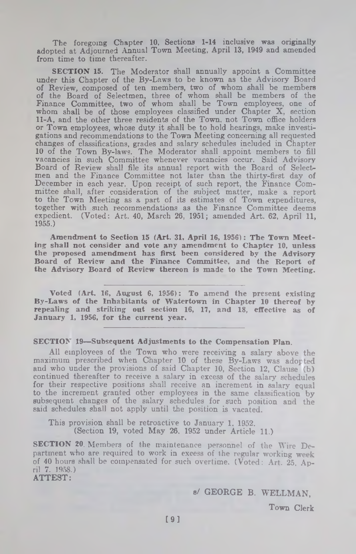The foregoing Chapter 10, Sections 1-14 inclusive was originally adopted at Adjourned Annual Town Meeting, April 13, 1949 and amended from time to time thereafter.

SECTION 15. The Moderator shall annually appoint a Committee under this Chapter of the By-Laws to be known as the Advisory Board of Review, composed of ten members, two of whom shall be members of the Board of Selectmen, three of whom shall be members of the Finance Committee, two of whom shall be Town employees, one of whom shall be of those employees classified under Chapter X, section 11-A, and the other three residents of the Town, not Town office holders or Town employees, whose duty it shall be to hold hearings, make investigations and recommendations to the Town Meeting concerning all requested changes of classifications, grades and salary schedules included in Chapter 10 of the Town By-laws. The Moderator shall appoint members to fill vacancies in such Committee whenever vacancies occur. Said Advisory Board of Review shall file its annual report with the Board of Selectmen and the Finance Committee not later than the thirty-first day of December in each year. Upon receipt of such report, the Finance Committee shall, after consideration of the subject matter, make a report to the Town Meeting as a part of its estimates of Town expenditures, together with such recommendations as the Finance Committee deems expedient. (Voted: Art. 40, March 26, 1951; amended Art. 62, April 11, 1955.)

Amendment to Section 15 (Art. 31, April 16, 1956): The Town Meeting shall not consider and vote any amendment to Chapter 10, unless the proposed amendment has first been considered by the Advisory Board of Review and the Finance Committee, and the Report of the Advisory Board of Review thereon is made to the Town Meeting.

Voted (Art. 16, August 6, 1956): To amend the present existing By-Laws of the Inhabitants of Watertown in Chapter 10 thereof by repealing and striking out section 16, 17, and 18, effective as of January 1, 1956, for the current year.

#### SECTION 19—Subsequent Adjustments to the Compensation Plan.

All employees of the Town who were receiving a salary' above the maximum prescribed when Chapter 10 of these By-Laws was adopted and who under the provisions of said Chapter 10, Section 12, Clause (b) continued thereafter to receive a salary in excess of the salary schedules for their respective positions shall receive an increment in salary equal to the increment granted other employees in the same classification by subsequent changes of the salary schedules for such position and the said schedules shall not apply until the position is vacated.

This provision shall be retroactive to January 1. 1952. (Section 19, voted May 26, 1952 under Article 11.)

SECTION 20. Members of the maintenance personnel of the Wire Department who are required to work in excess of the regular working week of 40 hours shall be compensated for such overtime. (Voted: Art. 25, April 7. 1958.) **ATTEST:**

**s/ GEORGE B. WELLMAN,**

**Town Clerk**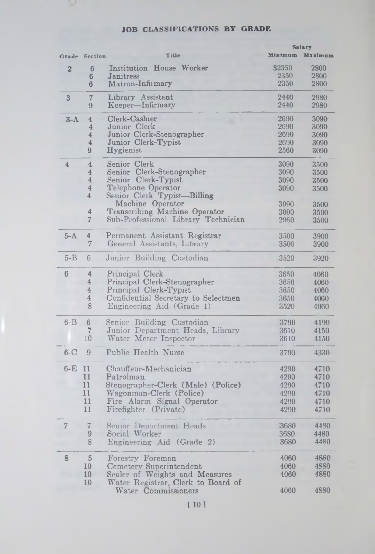# **JOB CLASSIFICATIONS BY GRADE** Salary

 $\sim$ 

|                | Grade Section  | Title                               | Minimum | Maximum |
|----------------|----------------|-------------------------------------|---------|---------|
| $\overline{2}$ | 6              | <b>Institution House Worker</b>     | \$2350  | 2800    |
|                | $6\phantom{1}$ | Janitress                           | 2350    | 2800    |
|                | 6              | Matron-Infirmary                    | 2350    | 2800    |
| 3              | 7              | Library Assistant                   | 2440    | 2980    |
|                | 9              | Keeper-Infirmary                    | 2440    | 2980    |
| $3-A$          | 4              | Clerk-Cashier                       | 2690    | 3090    |
|                | 4              | Junior Clerk                        | 2690    | 3090    |
|                | 4              | Junior Clerk-Stenographer           | 2690    | 3090    |
|                | 4              | Junior Clerk-Typist                 | 2690    | 3090    |
|                | 9              | Hygienist                           | 2560    | 3090    |
| $\overline{4}$ | $\overline{4}$ | Senior Clerk                        | 3090    | 3500    |
|                | 4              | Senior Clerk-Stenographer           | 3090    | 3500    |
|                | 4              | Senior Clerk-Typist                 | 3090    | 3500    |
|                | 4              | Telephone Operator                  | 3090    | 3500    |
|                | 4              | Senior Clerk Typist-Billing         |         |         |
|                |                | Machine Operator                    | 3090    | 3500    |
|                | 4              | Transcribing Machine Operator       | 3090    | 3500    |
|                | $\overline{7}$ | Sub-Professional Library Technician | 2960    | 3500    |
| $5-A$          | $\overline{4}$ | Permanent Assistant Registrar       | 3500    | 3900    |
|                | 7              | General Assistants, Library         | 3500    | 3900    |
| $5 - B$        | 6              | Junior Building Custodian           | 3520    | 3920    |
| 6              | 4              | Principal Clerk                     | 3650    | 4060    |
|                | 4              | Principal Clerk-Stenographer        | 3650    | 4060    |
|                | $\overline{4}$ | Principal Clerk-Typist              | 3650    | 4060    |
|                | 4              | Confidential Secretary to Selectmen | 3650    | 4060    |
|                | 8              | Engineering Aid (Grade 1)           | 3520    | 4060    |
| $6 - B$        | 6              | Senior Building Custodian           | 3790    | 4190    |
|                | 7              | Junior Department Heads, Library    | 3610    | 4150    |
|                | 10             | Water Meter Inspector               | 3610    | 4150    |
| $6-C$          | 9              | Public Health Nurse                 | 3790    | 4330    |
| 6-E            | 11             | Chauffeur-Mechanician               | 4290    | 4710    |
|                | 11             | Patrolman                           | 4290    | 4710    |
|                | 11             | Stenographer-Clerk (Male) (Police)  | 4290    | 4710    |
|                | 11             | Wagonman-Clerk (Police)             | 4290    | 4710    |
|                | 11             | Fire Alarm Signal Operator          | 4290    | 4710    |
|                | 11             | Firefighter (Private)               | 4290    | 4710    |
| 7              | $\overline{7}$ | Senior Department Heads             | :3680   | 4480    |
|                | 9              | Social Worker                       | 3680    | 4480    |
|                | 8              |                                     | 3680    | 4480    |
|                |                | Engineering Aid (Grade 2)           |         |         |
| 8              | $\sqrt{5}$     | Forestry Foreman                    | 4060    | 4880    |
|                | 10             | Cemetery Superintendent             | 4060    | 4880    |
|                | 10             | Sealer of Weights and Measures      | 4060    | 4880    |
|                | 10             | Water Registrar, Clerk to Board of  |         |         |
|                |                | Water Commissioners                 | 4060    | 4880    |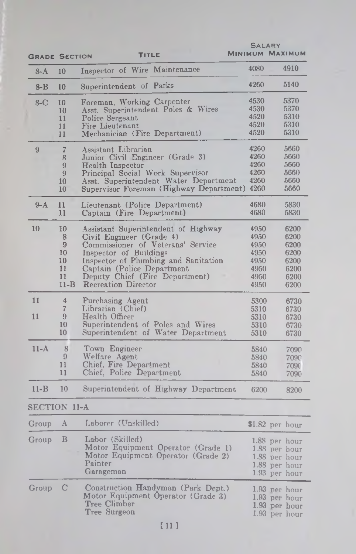|                      |                |                                                       | <b>SALARY</b> |                        |
|----------------------|----------------|-------------------------------------------------------|---------------|------------------------|
| <b>GRADE SECTION</b> |                | TITLE                                                 |               | <b>MINIMUM MAXIMUM</b> |
| $S-A$                | 10             | Inspector of Wire Maintenance                         | 4080          | 4910                   |
| $8 - B$              | 10             | Superintendent of Parks                               | 4260          | 5140                   |
| $8-C$                | 10             | Foreman, Working Carpenter                            | 4530          | 5370                   |
|                      | 10             | Asst. Superintendent Poles & Wires                    | 4530          | 5370                   |
|                      | 11             | Police Sergeant                                       | 4520          | 5310                   |
|                      | 11             | Fire Lieutenant                                       | 4520          | 5310                   |
|                      | 11             | Mechanician (Fire Department)                         | 4520          | 5310                   |
| 9                    | 7              | Assistant Librarian                                   | 4260          | 5660                   |
|                      | 8              | Junior Civil Engineer (Grade 3)                       | 4260          | 5660                   |
|                      | 9              | Health Inspector                                      | 4260          | 5660                   |
|                      | 9              | Principal Social Work Supervisor                      | 4260          | 5660                   |
|                      | 10             | Asst. Superintendent Water Department                 | 4260          | 5660                   |
|                      | 10             | Supervisor Foreman (Highway Department) 4260          |               | 5660                   |
| $9-A$                | 11             | Lieutenant (Police Department)                        | 4680          | 5830                   |
|                      | $\mathbf{11}$  | Captain (Fire Department)                             | 4680          | 5830                   |
| 10                   | 10             | Assistant Superintendent of Highway                   | 4950          | 6200                   |
|                      | 8              | Civil Engineer (Grade 4)                              | 4950          | 6200                   |
|                      | 9              | Commissioner of Veterans' Service                     | 4950          | 6200                   |
|                      | 10             | Inspector of Buildings                                | 4950          | 6200                   |
|                      | 10             | Inspector of Plumbing and Sanitation                  | 4950          | 6200                   |
|                      | 11             | Captain (Police Department                            | 4950          | 6200                   |
|                      | 11             | Deputy Chief (Fire Department)                        | 4950          | 6200                   |
|                      | $11 - B$       | Recreation Director                                   | 4950          | 6200                   |
| 11                   | 4              | Purchasing Agent                                      | 5300          | 6730                   |
|                      | $\overline{7}$ | Librarian (Chief)                                     | 5310          | 6730                   |
| 11                   | 9              | Health Officer                                        | 5310          | 6730                   |
|                      | 10             | Superintendent of Poles and Wires                     | 5310          | 6730                   |
|                      | 10             | Superintendent of Water Department                    | 5310          | 6730                   |
| $11-A$               | 8              | Town Engineer                                         | 5840          | 7090                   |
|                      | 9              | Welfare Agent                                         | 5840          | 7090                   |
|                      | 11             | Chief, Fire Department                                | 5840          | 7090                   |
|                      | 11             | Chief, Police Department                              | 5840          | 7090                   |
| $11 - B$             | 10             | Superintendent of Highway Department                  | 6200          | 8200                   |
| SECTION 11-A         |                |                                                       |               |                        |
| Group                | A              | Laborer (Unskilled)                                   |               | \$1.82 per hour        |
|                      | B              |                                                       |               |                        |
| Group                |                | Labor (Skilled)<br>Motor Equipment Operator (Grade 1) |               | 1.88 per hour          |
|                      |                |                                                       |               | 1.88 per hour          |
|                      |                | Motor Equipment Operator (Grade 2)                    |               | 1.88 per hour          |
|                      |                | Painter                                               |               | 1.88 per hour          |
|                      |                | Garageman                                             |               | 1.93 per hour          |
| Group                | C              | Construction Handyman (Park Dept.)                    |               | 1.93 per hour          |
|                      |                | Motor Equipment Operator (Grade 3)                    |               | 1.93 per hour          |
|                      |                | Tree Climber                                          |               | 1.93 per hour          |
|                      |                | Tree Surgeon                                          |               | 1.93 per hour          |
|                      |                |                                                       |               |                        |